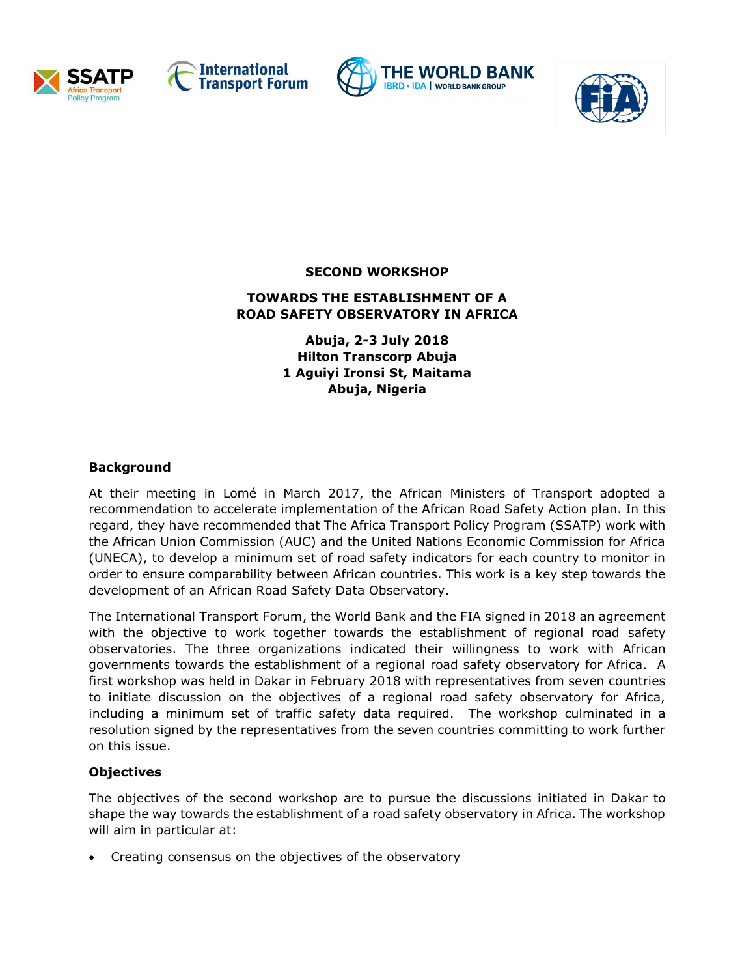







**SECOND WORKSHOP**

## **TOWARDS THE ESTABLISHMENT OF A ROAD SAFETY OBSERVATORY IN AFRICA**

**Abuja, 2-3 July 2018 Hilton Transcorp Abuja 1 Aguiyi Ironsi St, Maitama Abuja, Nigeria**

# **Background**

At their meeting in Lomé in March 2017, the African Ministers of Transport adopted a recommendation to accelerate implementation of the African Road Safety Action plan. In this regard, they have recommended that The Africa Transport Policy Program (SSATP) work with the African Union Commission (AUC) and the United Nations Economic Commission for Africa (UNECA), to develop a minimum set of road safety indicators for each country to monitor in order to ensure comparability between African countries. This work is a key step towards the development of an African Road Safety Data Observatory.

The International Transport Forum, the World Bank and the FIA signed in 2018 an agreement with the objective to work together towards the establishment of regional road safety observatories. The three organizations indicated their willingness to work with African governments towards the establishment of a regional road safety observatory for Africa. A first workshop was held in Dakar in February 2018 with representatives from seven countries to initiate discussion on the objectives of a regional road safety observatory for Africa, including a minimum set of traffic safety data required. The workshop culminated in a resolution signed by the representatives from the seven countries committing to work further on this issue.

#### **Objectives**

The objectives of the second workshop are to pursue the discussions initiated in Dakar to shape the way towards the establishment of a road safety observatory in Africa. The workshop will aim in particular at:

• Creating consensus on the objectives of the observatory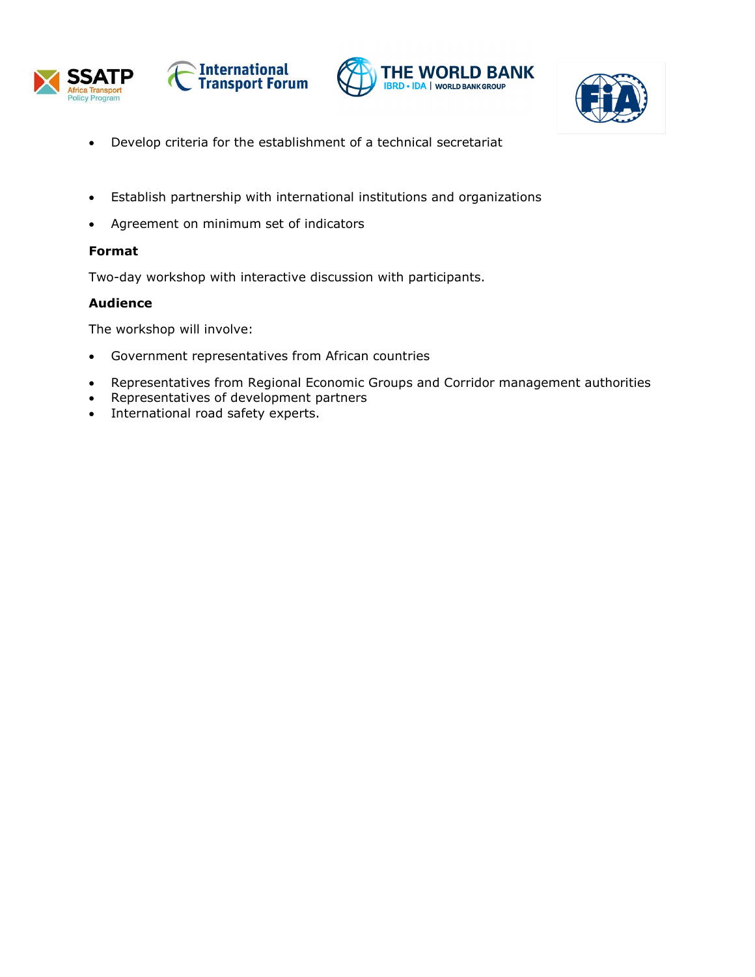







- Develop criteria for the establishment of a technical secretariat
- Establish partnership with international institutions and organizations
- Agreement on minimum set of indicators

# **Format**

Two-day workshop with interactive discussion with participants.

# **Audience**

The workshop will involve:

- Government representatives from African countries
- Representatives from Regional Economic Groups and Corridor management authorities
- Representatives of development partners
- International road safety experts.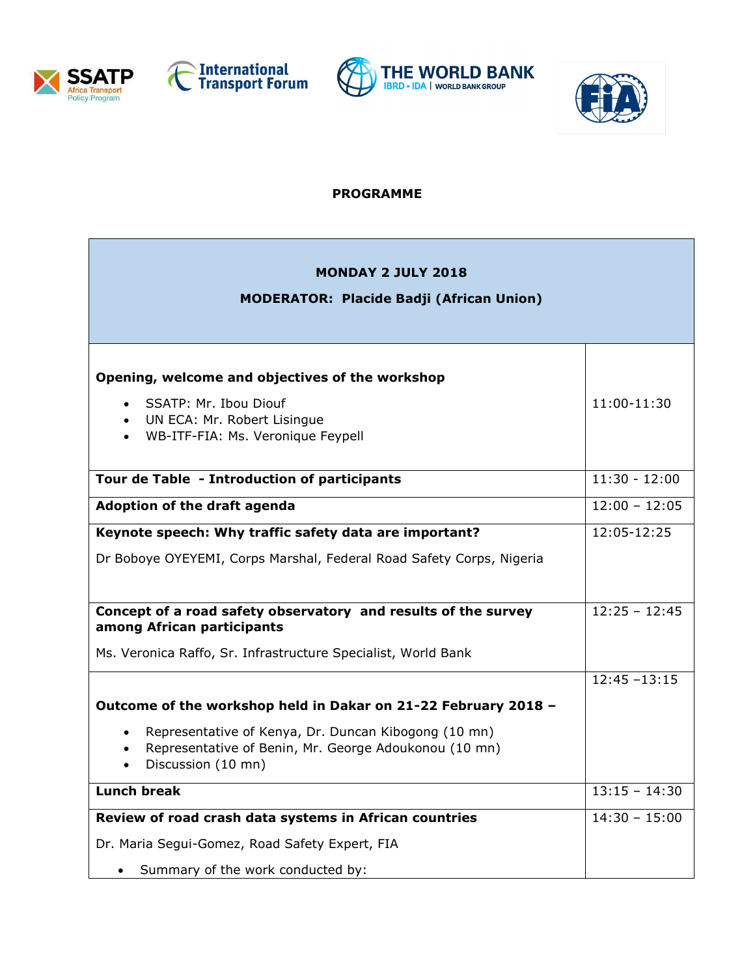







## **PROGRAMME**

| <b>MONDAY 2 JULY 2018</b><br><b>MODERATOR: Placide Badji (African Union)</b>                                                                                               |                 |
|----------------------------------------------------------------------------------------------------------------------------------------------------------------------------|-----------------|
|                                                                                                                                                                            |                 |
| Opening, welcome and objectives of the workshop                                                                                                                            |                 |
| SSATP: Mr. Ibou Diouf<br>$\bullet$<br>UN ECA: Mr. Robert Lisingue<br>WB-ITF-FIA: Ms. Veronique Feypell                                                                     | $11:00-11:30$   |
| Tour de Table - Introduction of participants                                                                                                                               | $11:30 - 12:00$ |
| Adoption of the draft agenda                                                                                                                                               | $12:00 - 12:05$ |
| Keynote speech: Why traffic safety data are important?                                                                                                                     | 12:05-12:25     |
| Dr Boboye OYEYEMI, Corps Marshal, Federal Road Safety Corps, Nigeria                                                                                                       |                 |
| Concept of a road safety observatory and results of the survey<br>among African participants                                                                               | $12:25 - 12:45$ |
| Ms. Veronica Raffo, Sr. Infrastructure Specialist, World Bank                                                                                                              |                 |
|                                                                                                                                                                            | $12:45 - 13:15$ |
| Outcome of the workshop held in Dakar on 21-22 February 2018 -                                                                                                             |                 |
| Representative of Kenya, Dr. Duncan Kibogong (10 mn)<br>$\bullet$<br>Representative of Benin, Mr. George Adoukonou (10 mn)<br>$\bullet$<br>Discussion (10 mn)<br>$\bullet$ |                 |
| <b>Lunch break</b>                                                                                                                                                         | $13:15 - 14:30$ |
| Review of road crash data systems in African countries                                                                                                                     | $14:30 - 15:00$ |
| Dr. Maria Segui-Gomez, Road Safety Expert, FIA                                                                                                                             |                 |
| Summary of the work conducted by:                                                                                                                                          |                 |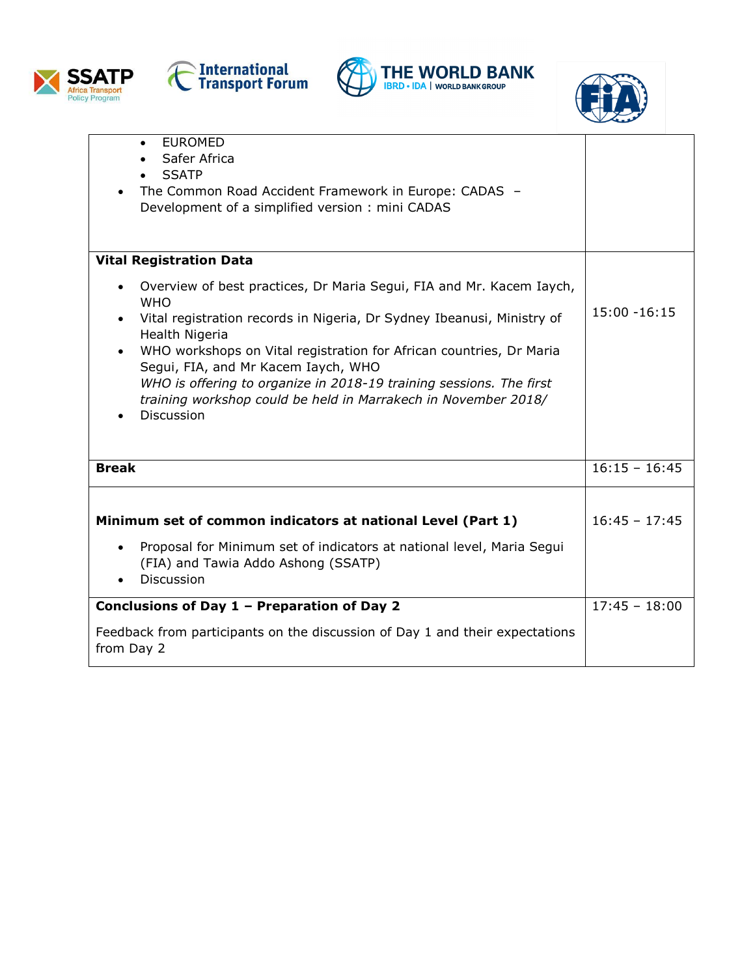







| <b>EUROMED</b><br>$\bullet$<br>Safer Africa<br><b>SSATP</b><br>The Common Road Accident Framework in Europe: CADAS -<br>Development of a simplified version: mini CADAS                                                                                                                                                                                                                                                                                    |                 |
|------------------------------------------------------------------------------------------------------------------------------------------------------------------------------------------------------------------------------------------------------------------------------------------------------------------------------------------------------------------------------------------------------------------------------------------------------------|-----------------|
| <b>Vital Registration Data</b>                                                                                                                                                                                                                                                                                                                                                                                                                             |                 |
| Overview of best practices, Dr Maria Segui, FIA and Mr. Kacem Iaych,<br><b>WHO</b><br>Vital registration records in Nigeria, Dr Sydney Ibeanusi, Ministry of<br>Health Nigeria<br>WHO workshops on Vital registration for African countries, Dr Maria<br>Segui, FIA, and Mr Kacem Iaych, WHO<br>WHO is offering to organize in 2018-19 training sessions. The first<br>training workshop could be held in Marrakech in November 2018/<br><b>Discussion</b> | $15:00 - 16:15$ |
| <b>Break</b>                                                                                                                                                                                                                                                                                                                                                                                                                                               | $16:15 - 16:45$ |
| Minimum set of common indicators at national Level (Part 1)<br>Proposal for Minimum set of indicators at national level, Maria Segui<br>(FIA) and Tawia Addo Ashong (SSATP)<br><b>Discussion</b>                                                                                                                                                                                                                                                           | $16:45 - 17:45$ |
| Conclusions of Day 1 - Preparation of Day 2                                                                                                                                                                                                                                                                                                                                                                                                                | $17:45 - 18:00$ |
| Feedback from participants on the discussion of Day 1 and their expectations<br>from Day 2                                                                                                                                                                                                                                                                                                                                                                 |                 |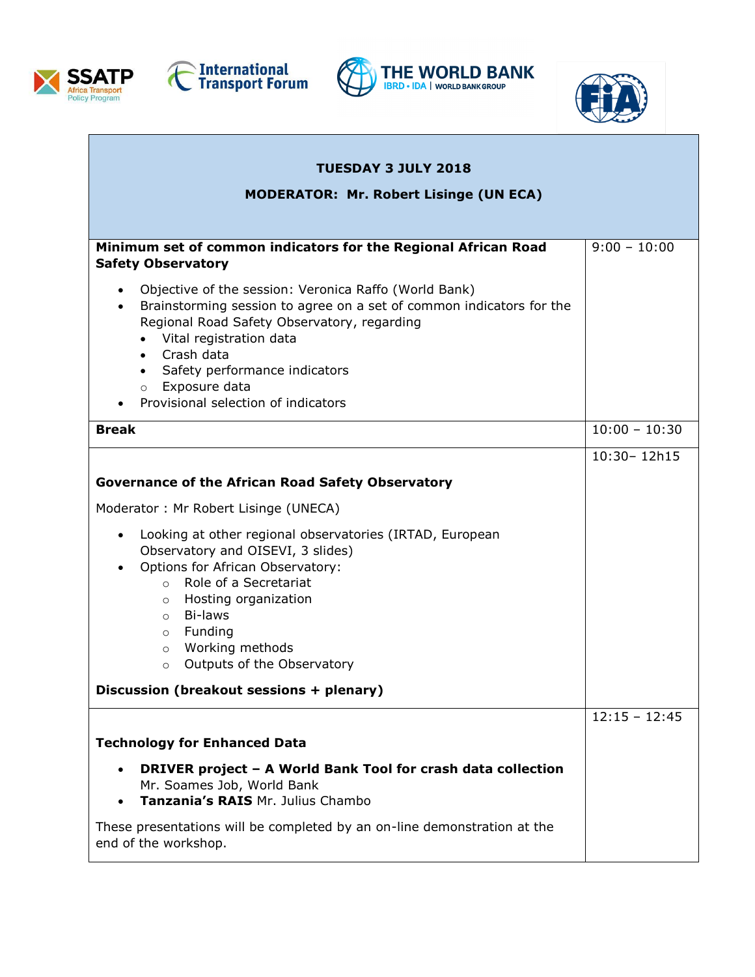







| <b>TUESDAY 3 JULY 2018</b>                                                                                                                                                                                                                                                                                                                   |                 |
|----------------------------------------------------------------------------------------------------------------------------------------------------------------------------------------------------------------------------------------------------------------------------------------------------------------------------------------------|-----------------|
| <b>MODERATOR: Mr. Robert Lisinge (UN ECA)</b>                                                                                                                                                                                                                                                                                                |                 |
|                                                                                                                                                                                                                                                                                                                                              |                 |
| Minimum set of common indicators for the Regional African Road<br><b>Safety Observatory</b>                                                                                                                                                                                                                                                  | $9:00 - 10:00$  |
| Objective of the session: Veronica Raffo (World Bank)<br>$\bullet$<br>Brainstorming session to agree on a set of common indicators for the<br>Regional Road Safety Observatory, regarding<br>• Vital registration data<br>• Crash data<br>• Safety performance indicators                                                                    |                 |
| o Exposure data<br>Provisional selection of indicators                                                                                                                                                                                                                                                                                       |                 |
| <b>Break</b>                                                                                                                                                                                                                                                                                                                                 | $10:00 - 10:30$ |
|                                                                                                                                                                                                                                                                                                                                              | 10:30-12h15     |
| <b>Governance of the African Road Safety Observatory</b>                                                                                                                                                                                                                                                                                     |                 |
| Moderator: Mr Robert Lisinge (UNECA)                                                                                                                                                                                                                                                                                                         |                 |
| Looking at other regional observatories (IRTAD, European<br>$\bullet$<br>Observatory and OISEVI, 3 slides)<br>Options for African Observatory:<br>$\bullet$<br>o Role of a Secretariat<br>Hosting organization<br>$\circ$<br>Bi-laws<br>$\circ$<br>Funding<br>$\circ$<br>Working methods<br>$\circ$<br>Outputs of the Observatory<br>$\circ$ |                 |
| Discussion (breakout sessions + plenary)                                                                                                                                                                                                                                                                                                     |                 |
| <b>Technology for Enhanced Data</b>                                                                                                                                                                                                                                                                                                          | $12:15 - 12:45$ |
| DRIVER project - A World Bank Tool for crash data collection<br>Mr. Soames Job, World Bank<br>Tanzania's RAIS Mr. Julius Chambo                                                                                                                                                                                                              |                 |
| These presentations will be completed by an on-line demonstration at the<br>end of the workshop.                                                                                                                                                                                                                                             |                 |